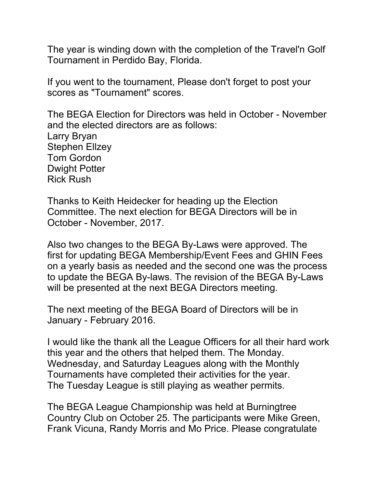The year is winding down with the completion of the Travel'n Golf Tournament in Perdido Bay, Florida.

If you went to the tournament, Please don't forget to post your scores as "Tournament" scores.

The BEGA Election for Directors was held in October - November and the elected directors are as follows: Larry Bryan Stephen Ellzey Tom Gordon Dwight Potter Rick Rush

Thanks to Keith Heidecker for heading up the Election Committee. The next election for BEGA Directors will be in October - November, 2017.

Also two changes to the BEGA By-Laws were approved. The first for updating BEGA Membership/Event Fees and GHIN Fees on a yearly basis as needed and the second one was the process to update the BEGA By-laws. The revision of the BEGA By-Laws will be presented at the next BEGA Directors meeting.

The next meeting of the BEGA Board of Directors will be in January - February 2016.

I would like the thank all the League Officers for all their hard work this year and the others that helped them. The Monday. Wednesday, and Saturday Leagues along with the Monthly Tournaments have completed their activities for the year. The Tuesday League is still playing as weather permits.

The BEGA League Championship was held at Burningtree Country Club on October 25. The participants were Mike Green, Frank Vicuna, Randy Morris and Mo Price. Please congratulate